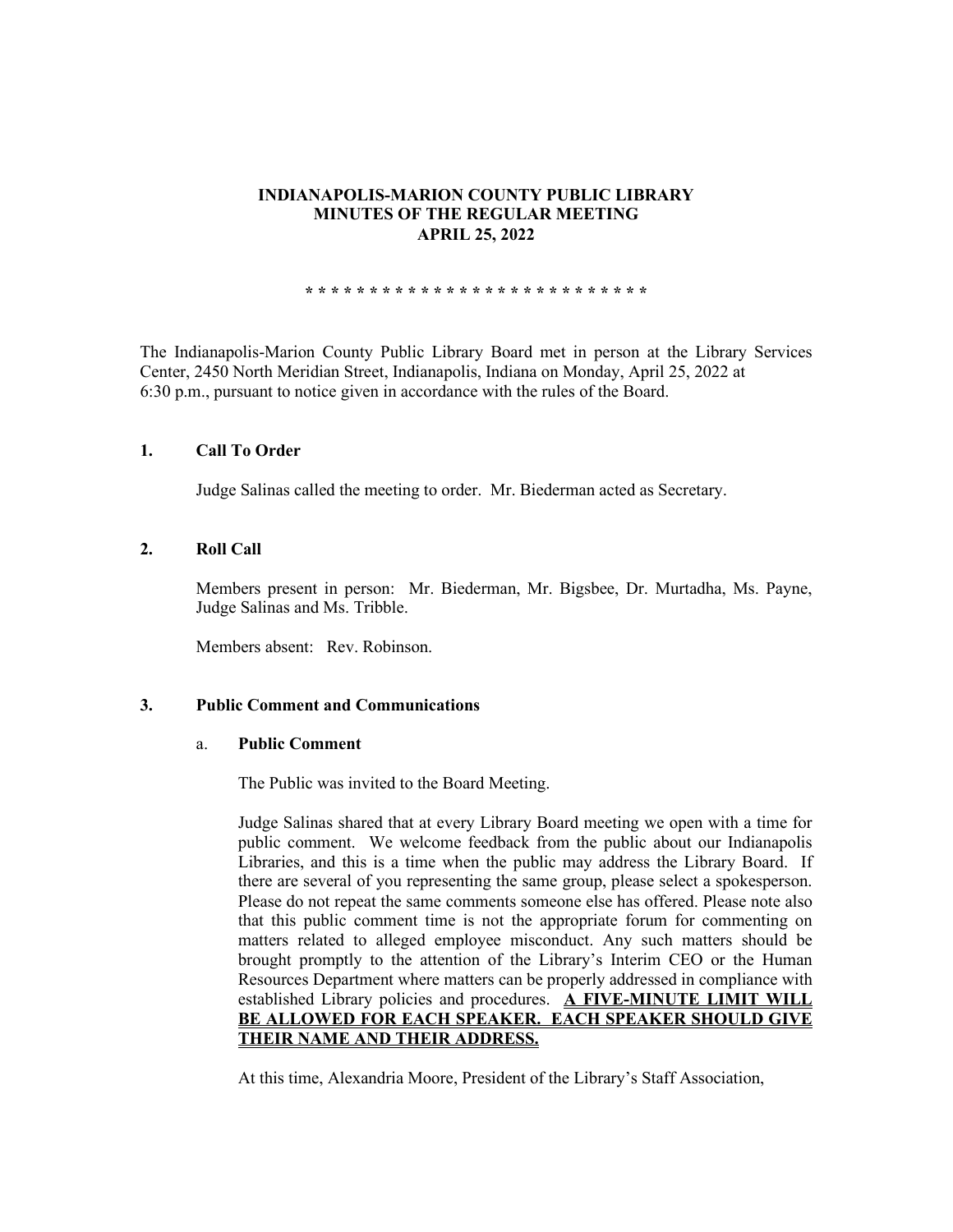# **INDIANAPOLIS-MARION COUNTY PUBLIC LIBRARY MINUTES OF THE REGULAR MEETING APRIL 25, 2022**

**\* \* \* \* \* \* \* \* \* \* \* \* \* \* \* \* \* \* \* \* \* \* \* \* \* \* \***

The Indianapolis-Marion County Public Library Board met in person at the Library Services Center, 2450 North Meridian Street, Indianapolis, Indiana on Monday, April 25, 2022 at 6:30 p.m., pursuant to notice given in accordance with the rules of the Board.

### **1. Call To Order**

Judge Salinas called the meeting to order. Mr. Biederman acted as Secretary.

### **2. Roll Call**

Members present in person: Mr. Biederman, Mr. Bigsbee, Dr. Murtadha, Ms. Payne, Judge Salinas and Ms. Tribble.

Members absent: Rev. Robinson.

### **3. Public Comment and Communications**

#### a. **Public Comment**

The Public was invited to the Board Meeting.

Judge Salinas shared that at every Library Board meeting we open with a time for public comment. We welcome feedback from the public about our Indianapolis Libraries, and this is a time when the public may address the Library Board. If there are several of you representing the same group, please select a spokesperson. Please do not repeat the same comments someone else has offered. Please note also that this public comment time is not the appropriate forum for commenting on matters related to alleged employee misconduct. Any such matters should be brought promptly to the attention of the Library's Interim CEO or the Human Resources Department where matters can be properly addressed in compliance with established Library policies and procedures. **A FIVE-MINUTE LIMIT WILL BE ALLOWED FOR EACH SPEAKER. EACH SPEAKER SHOULD GIVE THEIR NAME AND THEIR ADDRESS.** 

At this time, Alexandria Moore, President of the Library's Staff Association,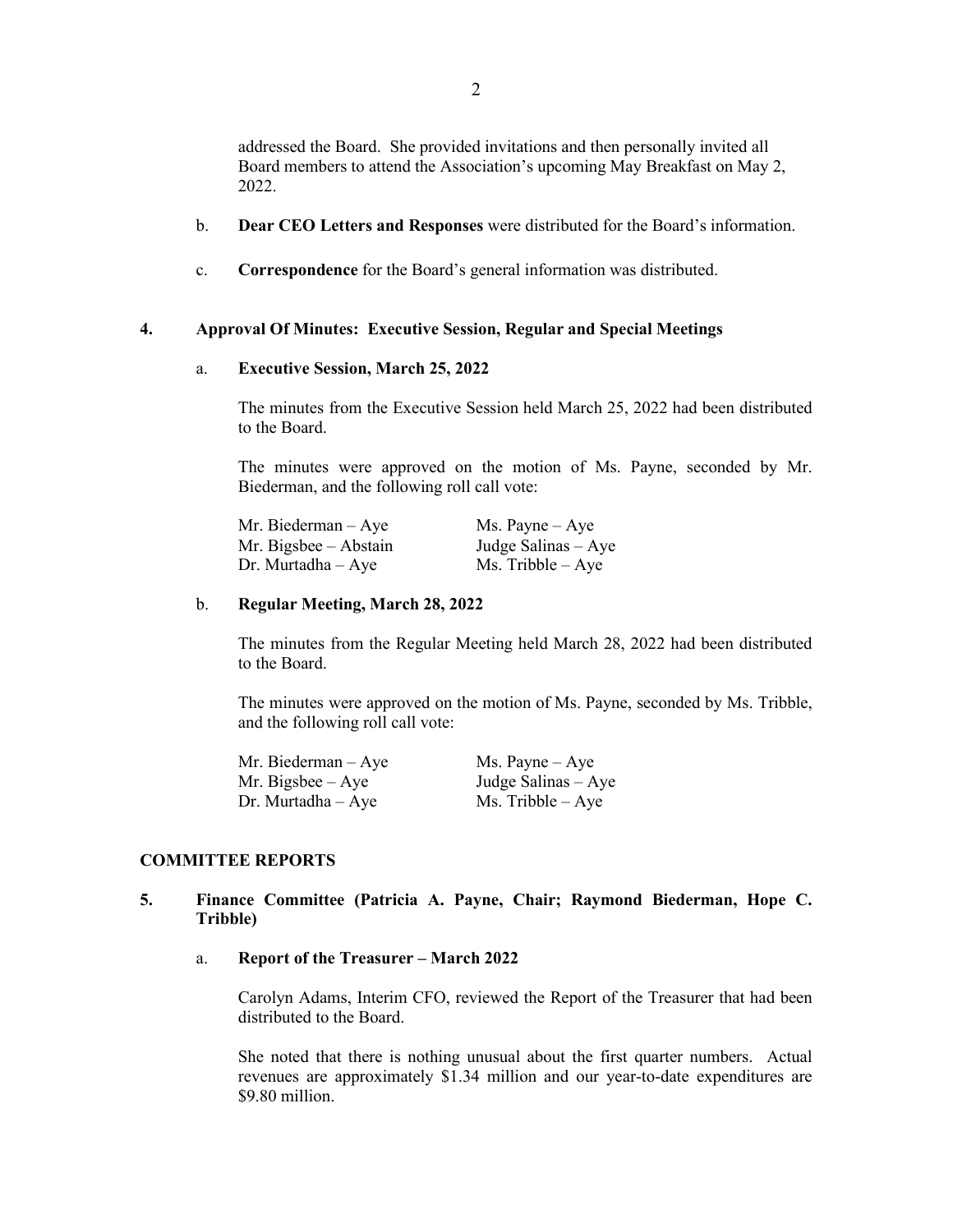addressed the Board. She provided invitations and then personally invited all Board members to attend the Association's upcoming May Breakfast on May 2, 2022.

- b. **Dear CEO Letters and Responses** were distributed for the Board's information.
- c. **Correspondence** for the Board's general information was distributed.

### **4. Approval Of Minutes: Executive Session, Regular and Special Meetings**

#### a. **Executive Session, March 25, 2022**

The minutes from the Executive Session held March 25, 2022 had been distributed to the Board.

The minutes were approved on the motion of Ms. Payne, seconded by Mr. Biederman, and the following roll call vote:

| Mr. Biederman – Aye   | $Ms. \text{Payne} - Aye$ |
|-----------------------|--------------------------|
| Mr. Bigsbee – Abstain | Judge Salinas $-$ Aye    |
| Dr. Murtadha – Aye    | $Ms.$ Tribble $-$ Aye    |

#### b. **Regular Meeting, March 28, 2022**

The minutes from the Regular Meeting held March 28, 2022 had been distributed to the Board.

The minutes were approved on the motion of Ms. Payne, seconded by Ms. Tribble, and the following roll call vote:

| Mr. Biederman $-$ Aye | $Ms. \text{Payne} - Aye$ |
|-----------------------|--------------------------|
| Mr. Bigsbee $-$ Aye   | Judge Salinas – Aye      |
| $Dr.$ Murtadha $-Aye$ | $Ms.$ Tribble $-$ Aye    |

# **COMMITTEE REPORTS**

# **5. Finance Committee (Patricia A. Payne, Chair; Raymond Biederman, Hope C. Tribble)**

### a. **Report of the Treasurer – March 2022**

Carolyn Adams, Interim CFO, reviewed the Report of the Treasurer that had been distributed to the Board.

She noted that there is nothing unusual about the first quarter numbers. Actual revenues are approximately \$1.34 million and our year-to-date expenditures are \$9.80 million.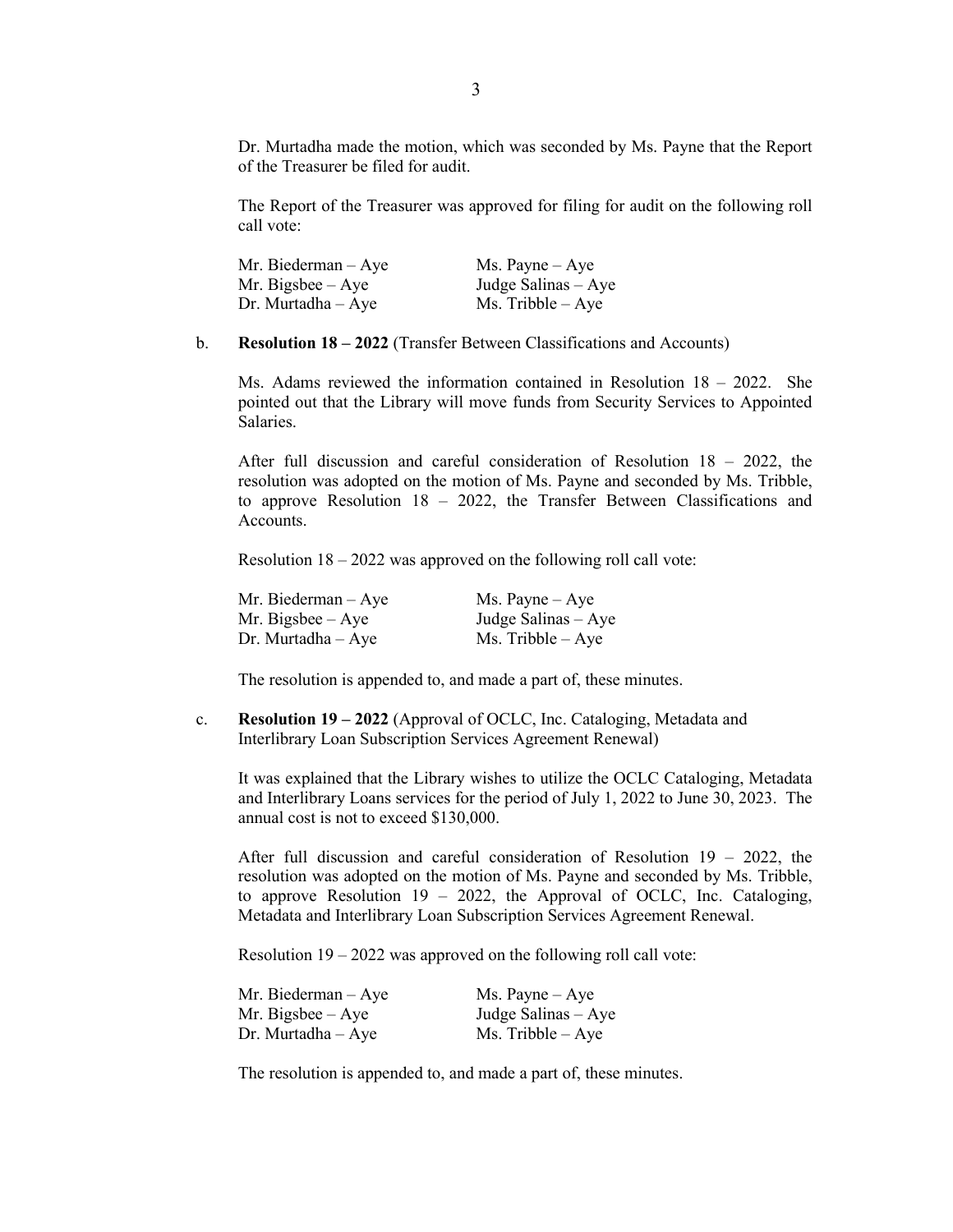Dr. Murtadha made the motion, which was seconded by Ms. Payne that the Report of the Treasurer be filed for audit.

The Report of the Treasurer was approved for filing for audit on the following roll call vote:

| Mr. Biederman $-$ Aye | $Ms. \text{Payne} - Aye$ |
|-----------------------|--------------------------|
| Mr. Bigsbee $-$ Aye   | Judge Salinas $-$ Aye    |
| $Dr.$ Murtadha $-Aye$ | $Ms.$ Tribble $-$ Aye    |

b. **Resolution 18 – 2022** (Transfer Between Classifications and Accounts)

Ms. Adams reviewed the information contained in Resolution 18 – 2022. She pointed out that the Library will move funds from Security Services to Appointed Salaries.

After full discussion and careful consideration of Resolution 18 – 2022, the resolution was adopted on the motion of Ms. Payne and seconded by Ms. Tribble, to approve Resolution 18 – 2022, the Transfer Between Classifications and Accounts.

Resolution 18 – 2022 was approved on the following roll call vote:

| Mr. Biederman $-$ Aye  | $Ms. \text{Payne} - Aye$ |
|------------------------|--------------------------|
| Mr. Bigsbee $-$ Aye    | Judge Salinas – Aye      |
| $Dr.$ Murtadha $-$ Aye | $Ms.$ Tribble $-$ Aye    |

The resolution is appended to, and made a part of, these minutes.

c. **Resolution 19 – 2022** (Approval of OCLC, Inc. Cataloging, Metadata and Interlibrary Loan Subscription Services Agreement Renewal)

It was explained that the Library wishes to utilize the OCLC Cataloging, Metadata and Interlibrary Loans services for the period of July 1, 2022 to June 30, 2023. The annual cost is not to exceed \$130,000.

After full discussion and careful consideration of Resolution 19 – 2022, the resolution was adopted on the motion of Ms. Payne and seconded by Ms. Tribble, to approve Resolution 19 – 2022, the Approval of OCLC, Inc. Cataloging, Metadata and Interlibrary Loan Subscription Services Agreement Renewal.

Resolution 19 – 2022 was approved on the following roll call vote:

| Mr. Biederman $-$ Aye | $Ms. \text{Payne} - Aye$ |
|-----------------------|--------------------------|
| Mr. Bigsbee $-$ Aye   | Judge Salinas – Aye      |
| $Dr.$ Murtadha $-Aye$ | $Ms.$ Tribble $-$ Aye    |

The resolution is appended to, and made a part of, these minutes.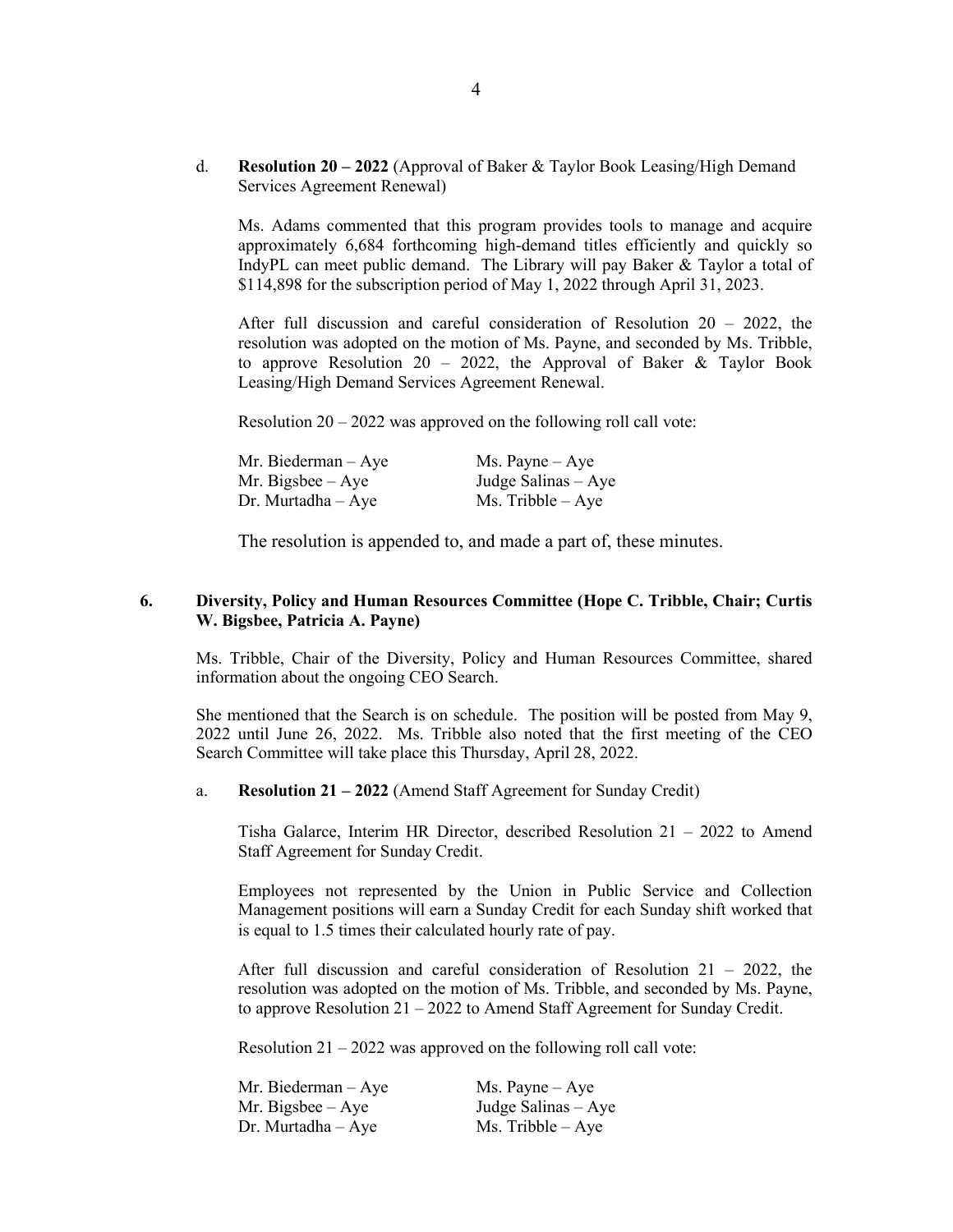d. **Resolution 20 – 2022** (Approval of Baker & Taylor Book Leasing/High Demand Services Agreement Renewal)

Ms. Adams commented that this program provides tools to manage and acquire approximately 6,684 forthcoming high-demand titles efficiently and quickly so IndyPL can meet public demand. The Library will pay Baker & Taylor a total of \$114,898 for the subscription period of May 1, 2022 through April 31, 2023.

After full discussion and careful consideration of Resolution  $20 - 2022$ , the resolution was adopted on the motion of Ms. Payne, and seconded by Ms. Tribble, to approve Resolution 20 – 2022, the Approval of Baker  $\&$  Taylor Book Leasing/High Demand Services Agreement Renewal.

Resolution  $20 - 2022$  was approved on the following roll call vote:

| Mr. Biederman – Aye | $Ms. \text{Payne} - Aye$ |
|---------------------|--------------------------|
| Mr. Bigsbee – Aye   | Judge Salinas $-$ Aye    |
| Dr. Murtadha – Aye  | $Ms.$ Tribble $-Aye$     |

The resolution is appended to, and made a part of, these minutes.

# **6. Diversity, Policy and Human Resources Committee (Hope C. Tribble, Chair; Curtis W. Bigsbee, Patricia A. Payne)**

Ms. Tribble, Chair of the Diversity, Policy and Human Resources Committee, shared information about the ongoing CEO Search.

She mentioned that the Search is on schedule. The position will be posted from May 9, 2022 until June 26, 2022. Ms. Tribble also noted that the first meeting of the CEO Search Committee will take place this Thursday, April 28, 2022.

a. **Resolution 21 – 2022** (Amend Staff Agreement for Sunday Credit)

Tisha Galarce, Interim HR Director, described Resolution 21 – 2022 to Amend Staff Agreement for Sunday Credit.

Employees not represented by the Union in Public Service and Collection Management positions will earn a Sunday Credit for each Sunday shift worked that is equal to 1.5 times their calculated hourly rate of pay.

After full discussion and careful consideration of Resolution 21 – 2022, the resolution was adopted on the motion of Ms. Tribble, and seconded by Ms. Payne, to approve Resolution 21 – 2022 to Amend Staff Agreement for Sunday Credit.

Resolution  $21 - 2022$  was approved on the following roll call vote:

| Mr. Biederman – Aye | $Ms. \text{Payne} - Aye$ |
|---------------------|--------------------------|
| Mr. Bigsbee – Aye   | Judge Salinas $-$ Aye    |
| Dr. Murtadha – Aye  | $Ms.$ Tribble $-Aye$     |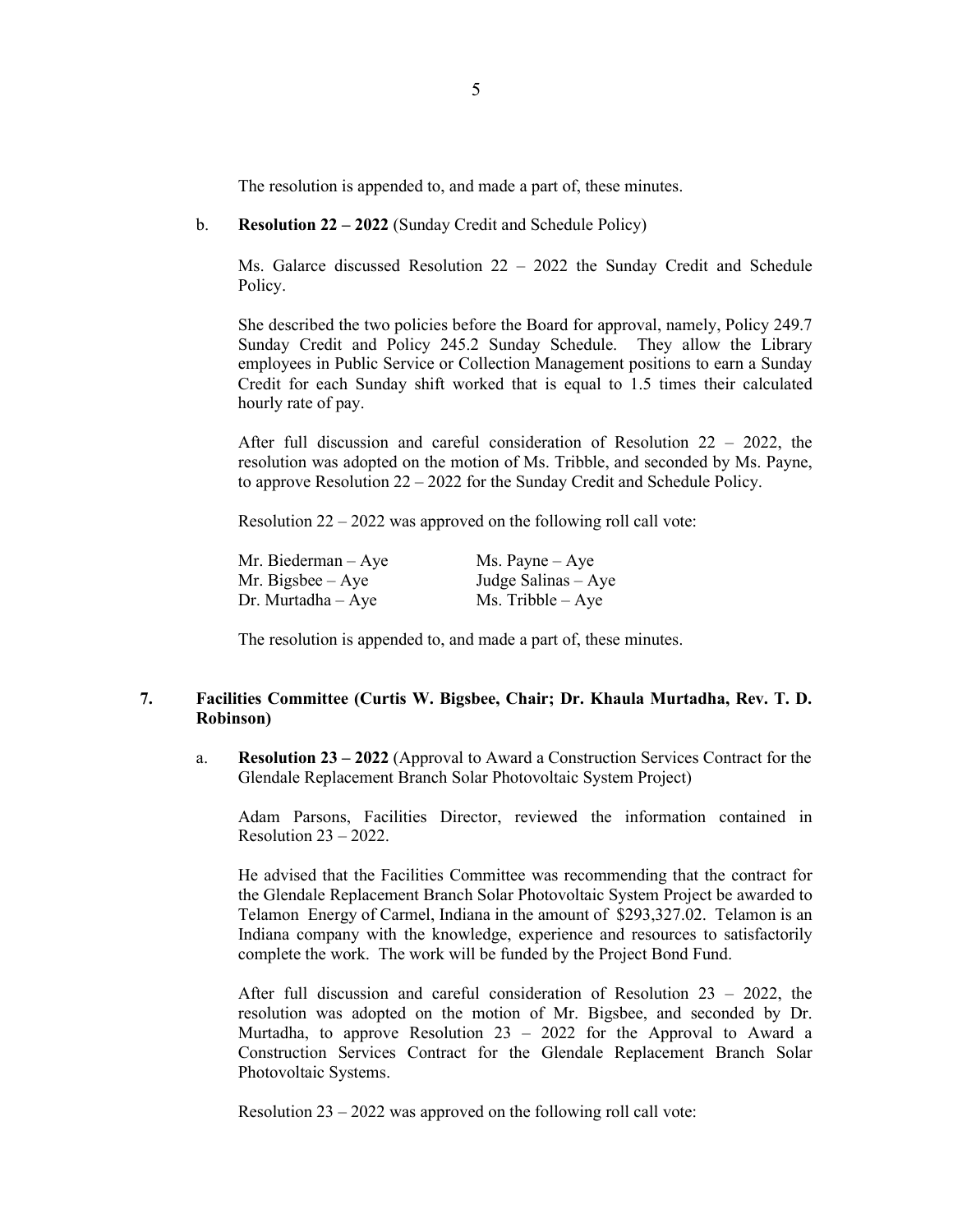The resolution is appended to, and made a part of, these minutes.

b. **Resolution 22 – 2022** (Sunday Credit and Schedule Policy)

Ms. Galarce discussed Resolution 22 – 2022 the Sunday Credit and Schedule Policy.

She described the two policies before the Board for approval, namely, Policy 249.7 Sunday Credit and Policy 245.2 Sunday Schedule. They allow the Library employees in Public Service or Collection Management positions to earn a Sunday Credit for each Sunday shift worked that is equal to 1.5 times their calculated hourly rate of pay.

After full discussion and careful consideration of Resolution  $22 - 2022$ , the resolution was adopted on the motion of Ms. Tribble, and seconded by Ms. Payne, to approve Resolution 22 – 2022 for the Sunday Credit and Schedule Policy.

Resolution 22 – 2022 was approved on the following roll call vote:

| Mr. Biederman – Aye   | $Ms. \text{Payne} - Aye$ |
|-----------------------|--------------------------|
| Mr. Bigsbee $-$ Aye   | Judge Salinas $-$ Aye    |
| $Dr.$ Murtadha $-Aye$ | $Ms.$ Tribble $-$ Aye    |

The resolution is appended to, and made a part of, these minutes.

# **7. Facilities Committee (Curtis W. Bigsbee, Chair; Dr. Khaula Murtadha, Rev. T. D. Robinson)**

a. **Resolution 23 – 2022** (Approval to Award a Construction Services Contract for the Glendale Replacement Branch Solar Photovoltaic System Project)

Adam Parsons, Facilities Director, reviewed the information contained in Resolution 23 – 2022.

He advised that the Facilities Committee was recommending that the contract for the Glendale Replacement Branch Solar Photovoltaic System Project be awarded to Telamon Energy of Carmel, Indiana in the amount of \$293,327.02. Telamon is an Indiana company with the knowledge, experience and resources to satisfactorily complete the work. The work will be funded by the Project Bond Fund.

After full discussion and careful consideration of Resolution 23 – 2022, the resolution was adopted on the motion of Mr. Bigsbee, and seconded by Dr. Murtadha, to approve Resolution 23 – 2022 for the Approval to Award a Construction Services Contract for the Glendale Replacement Branch Solar Photovoltaic Systems.

Resolution 23 – 2022 was approved on the following roll call vote: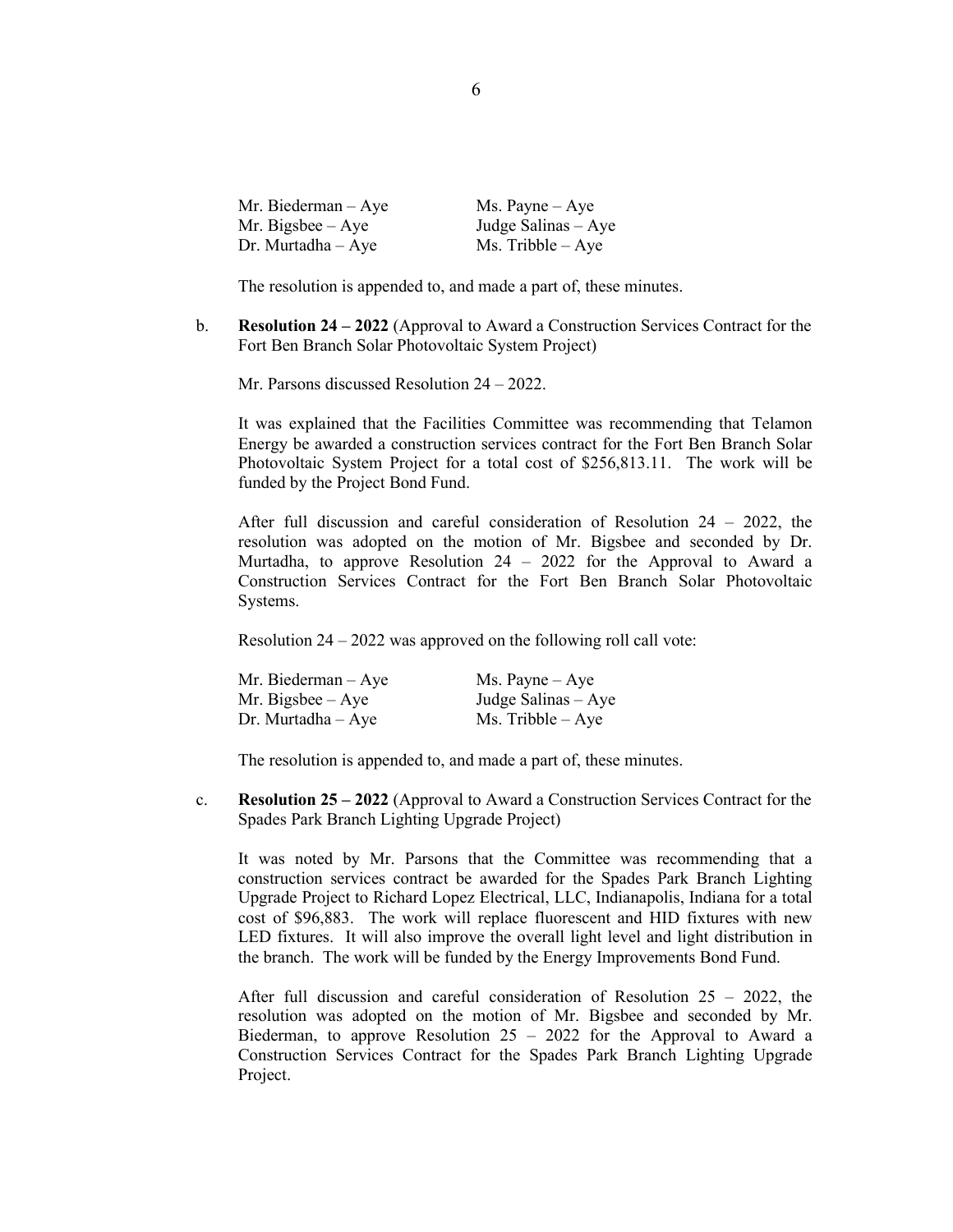| Mr. Biederman $-$ Aye  | $Ms. \text{Payne} - Aye$ |
|------------------------|--------------------------|
| Mr. Bigsbee $-$ Aye    | Judge Salinas $-$ Aye    |
| $Dr.$ Murtadha $-$ Aye | $Ms.$ Tribble $-$ Aye    |

The resolution is appended to, and made a part of, these minutes.

b. **Resolution 24 – 2022** (Approval to Award a Construction Services Contract for the Fort Ben Branch Solar Photovoltaic System Project)

Mr. Parsons discussed Resolution 24 – 2022.

It was explained that the Facilities Committee was recommending that Telamon Energy be awarded a construction services contract for the Fort Ben Branch Solar Photovoltaic System Project for a total cost of \$256,813.11. The work will be funded by the Project Bond Fund.

After full discussion and careful consideration of Resolution 24 – 2022, the resolution was adopted on the motion of Mr. Bigsbee and seconded by Dr. Murtadha, to approve Resolution 24 – 2022 for the Approval to Award a Construction Services Contract for the Fort Ben Branch Solar Photovoltaic Systems.

Resolution 24 – 2022 was approved on the following roll call vote:

| Mr. Biederman – Aye   | $Ms. \text{Payne} - Aye$ |
|-----------------------|--------------------------|
| Mr. Bigsbee $-$ Aye   | Judge Salinas $-$ Aye    |
| $Dr.$ Murtadha $-Aye$ | $Ms.$ Tribble $-Aye$     |

The resolution is appended to, and made a part of, these minutes.

c. **Resolution 25 – 2022** (Approval to Award a Construction Services Contract for the Spades Park Branch Lighting Upgrade Project)

It was noted by Mr. Parsons that the Committee was recommending that a construction services contract be awarded for the Spades Park Branch Lighting Upgrade Project to Richard Lopez Electrical, LLC, Indianapolis, Indiana for a total cost of \$96,883. The work will replace fluorescent and HID fixtures with new LED fixtures. It will also improve the overall light level and light distribution in the branch. The work will be funded by the Energy Improvements Bond Fund.

After full discussion and careful consideration of Resolution 25 – 2022, the resolution was adopted on the motion of Mr. Bigsbee and seconded by Mr. Biederman, to approve Resolution  $25 - 2022$  for the Approval to Award a Construction Services Contract for the Spades Park Branch Lighting Upgrade Project.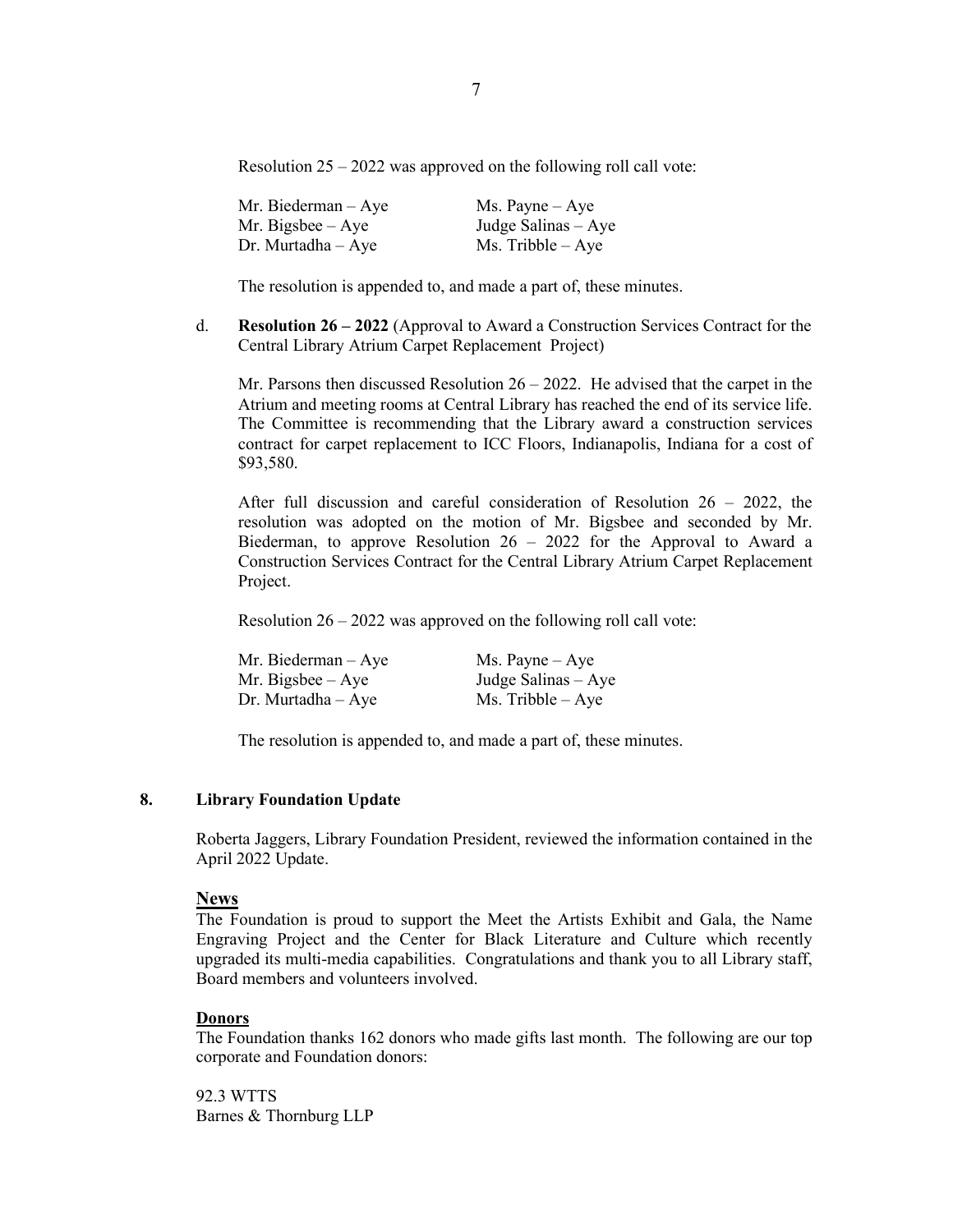Resolution  $25 - 2022$  was approved on the following roll call vote:

| Mr. Biederman $-$ Aye  | $Ms. \text{Payne} - Aye$ |
|------------------------|--------------------------|
| Mr. Bigsbee $-$ Aye    | Judge Salinas $-$ Aye    |
| $Dr.$ Murtadha $-$ Aye | $Ms.$ Tribble $-$ Aye    |

The resolution is appended to, and made a part of, these minutes.

d. **Resolution 26 – 2022** (Approval to Award a Construction Services Contract for the Central Library Atrium Carpet Replacement Project)

Mr. Parsons then discussed Resolution  $26 - 2022$ . He advised that the carpet in the Atrium and meeting rooms at Central Library has reached the end of its service life. The Committee is recommending that the Library award a construction services contract for carpet replacement to ICC Floors, Indianapolis, Indiana for a cost of \$93,580.

After full discussion and careful consideration of Resolution 26 – 2022, the resolution was adopted on the motion of Mr. Bigsbee and seconded by Mr. Biederman, to approve Resolution  $26 - 2022$  for the Approval to Award a Construction Services Contract for the Central Library Atrium Carpet Replacement Project.

Resolution 26 – 2022 was approved on the following roll call vote:

| Mr. Biederman – Aye | $Ms. \text{Payne} - Aye$ |
|---------------------|--------------------------|
| Mr. Bigsbee – Aye   | Judge Salinas $-$ Aye    |
| Dr. Murtadha – Aye  | $Ms.$ Tribble $-Aye$     |

The resolution is appended to, and made a part of, these minutes.

### **8. Library Foundation Update**

Roberta Jaggers, Library Foundation President, reviewed the information contained in the April 2022 Update.

#### **News**

The Foundation is proud to support the Meet the Artists Exhibit and Gala, the Name Engraving Project and the Center for Black Literature and Culture which recently upgraded its multi-media capabilities. Congratulations and thank you to all Library staff, Board members and volunteers involved.

#### **Donors**

The Foundation thanks 162 donors who made gifts last month. The following are our top corporate and Foundation donors:

92.3 WTTS Barnes & Thornburg LLP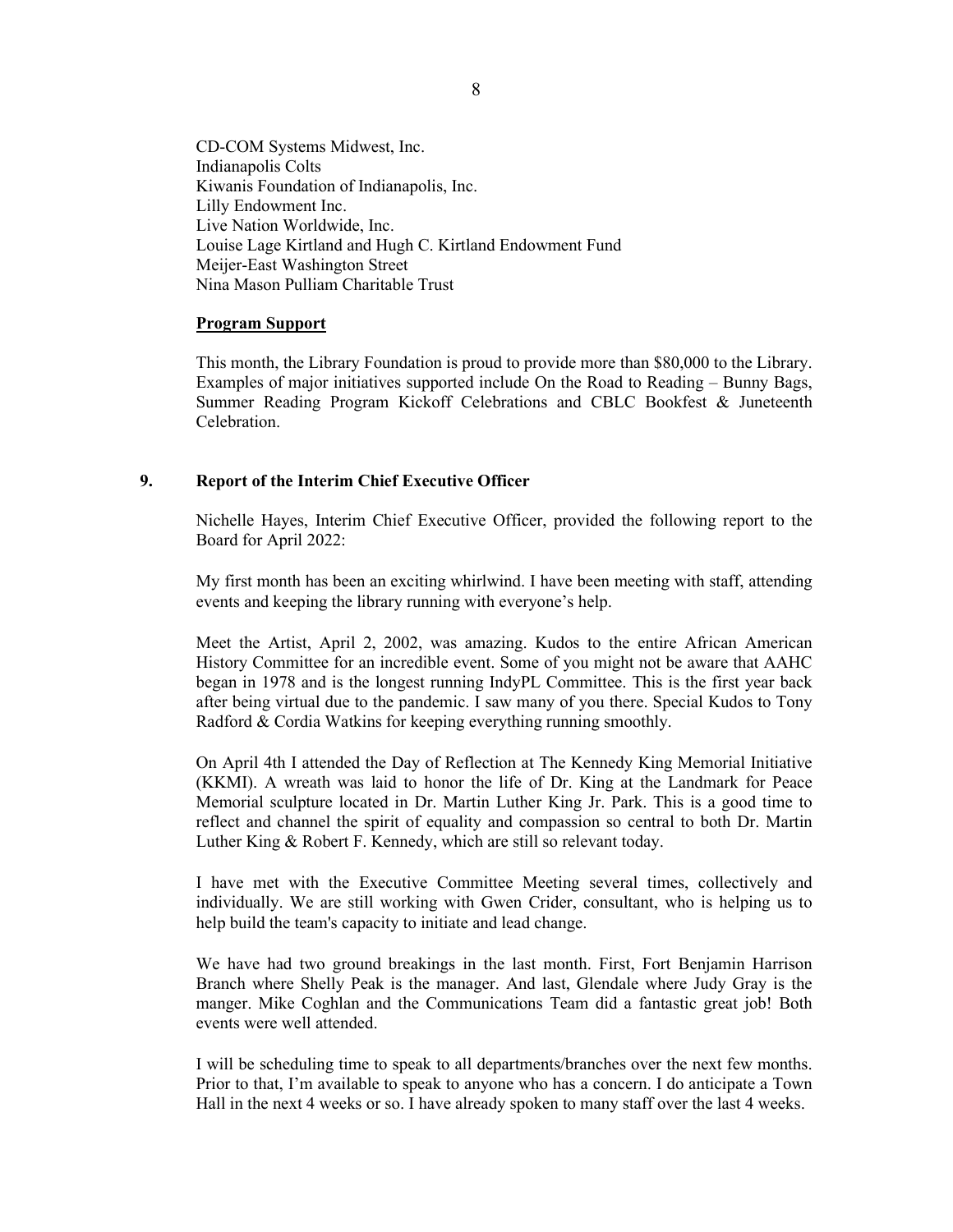CD-COM Systems Midwest, Inc. Indianapolis Colts Kiwanis Foundation of Indianapolis, Inc. Lilly Endowment Inc. Live Nation Worldwide, Inc. Louise Lage Kirtland and Hugh C. Kirtland Endowment Fund Meijer-East Washington Street Nina Mason Pulliam Charitable Trust

#### **Program Support**

This month, the Library Foundation is proud to provide more than \$80,000 to the Library. Examples of major initiatives supported include On the Road to Reading – Bunny Bags, Summer Reading Program Kickoff Celebrations and CBLC Bookfest & Juneteenth Celebration.

### **9. Report of the Interim Chief Executive Officer**

Nichelle Hayes, Interim Chief Executive Officer, provided the following report to the Board for April 2022:

My first month has been an exciting whirlwind. I have been meeting with staff, attending events and keeping the library running with everyone's help.

Meet the Artist, April 2, 2002, was amazing. Kudos to the entire African American History Committee for an incredible event. Some of you might not be aware that AAHC began in 1978 and is the longest running IndyPL Committee. This is the first year back after being virtual due to the pandemic. I saw many of you there. Special Kudos to Tony Radford & Cordia Watkins for keeping everything running smoothly.

On April 4th I attended the Day of Reflection at The Kennedy King Memorial Initiative (KKMI). A wreath was laid to honor the life of Dr. King at the Landmark for Peace Memorial sculpture located in Dr. Martin Luther King Jr. Park. This is a good time to reflect and channel the spirit of equality and compassion so central to both Dr. Martin Luther King & Robert F. Kennedy, which are still so relevant today.

I have met with the Executive Committee Meeting several times, collectively and individually. We are still working with Gwen Crider, consultant, who is helping us to help build the team's capacity to initiate and lead change.

We have had two ground breakings in the last month. First, Fort Benjamin Harrison Branch where Shelly Peak is the manager. And last, Glendale where Judy Gray is the manger. Mike Coghlan and the Communications Team did a fantastic great job! Both events were well attended.

I will be scheduling time to speak to all departments/branches over the next few months. Prior to that, I'm available to speak to anyone who has a concern. I do anticipate a Town Hall in the next 4 weeks or so. I have already spoken to many staff over the last 4 weeks.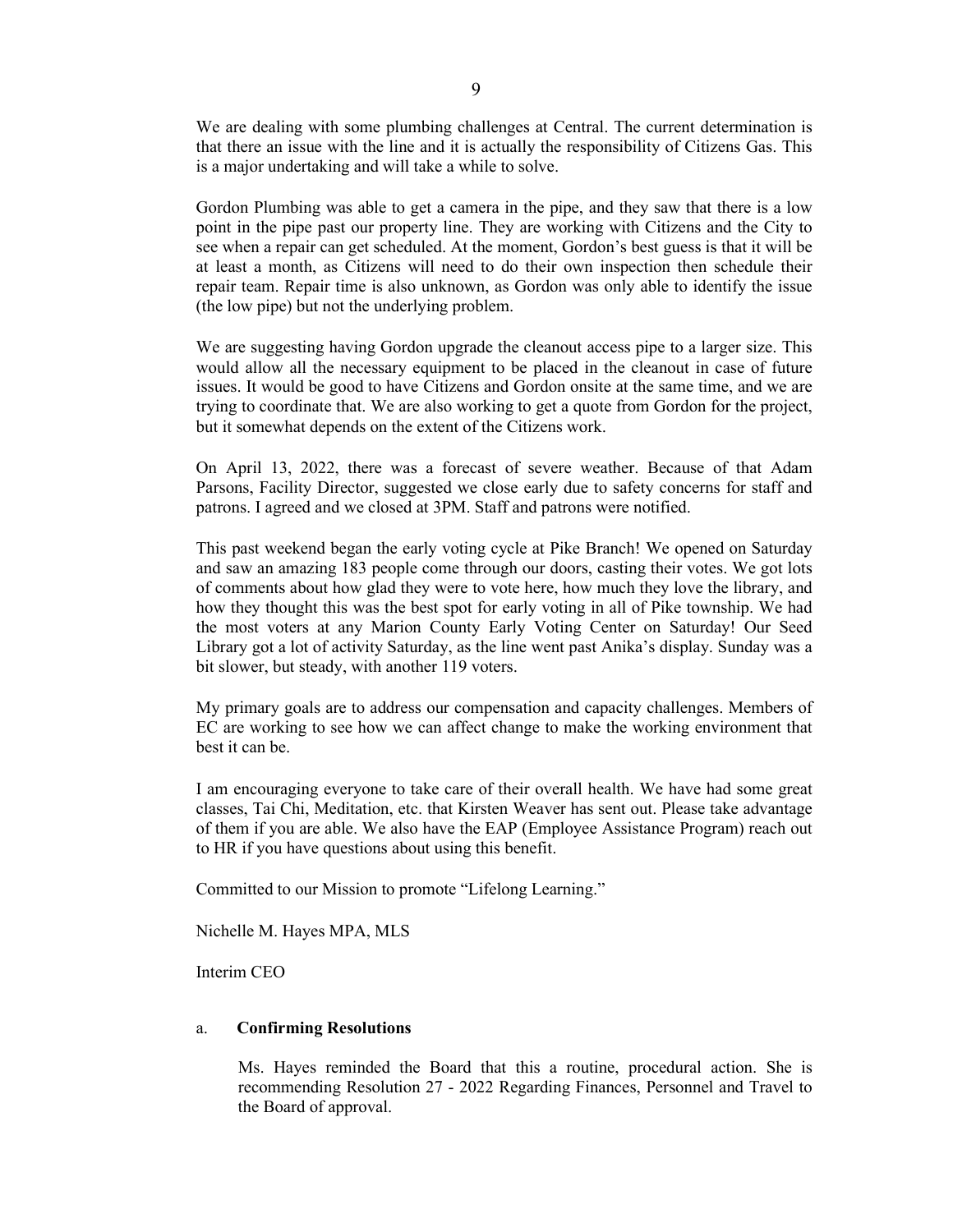We are dealing with some plumbing challenges at Central. The current determination is that there an issue with the line and it is actually the responsibility of Citizens Gas. This is a major undertaking and will take a while to solve.

Gordon Plumbing was able to get a camera in the pipe, and they saw that there is a low point in the pipe past our property line. They are working with Citizens and the City to see when a repair can get scheduled. At the moment, Gordon's best guess is that it will be at least a month, as Citizens will need to do their own inspection then schedule their repair team. Repair time is also unknown, as Gordon was only able to identify the issue (the low pipe) but not the underlying problem.

We are suggesting having Gordon upgrade the cleanout access pipe to a larger size. This would allow all the necessary equipment to be placed in the cleanout in case of future issues. It would be good to have Citizens and Gordon onsite at the same time, and we are trying to coordinate that. We are also working to get a quote from Gordon for the project, but it somewhat depends on the extent of the Citizens work.

On April 13, 2022, there was a forecast of severe weather. Because of that Adam Parsons, Facility Director, suggested we close early due to safety concerns for staff and patrons. I agreed and we closed at 3PM. Staff and patrons were notified.

This past weekend began the early voting cycle at Pike Branch! We opened on Saturday and saw an amazing 183 people come through our doors, casting their votes. We got lots of comments about how glad they were to vote here, how much they love the library, and how they thought this was the best spot for early voting in all of Pike township. We had the most voters at any Marion County Early Voting Center on Saturday! Our Seed Library got a lot of activity Saturday, as the line went past Anika's display. Sunday was a bit slower, but steady, with another 119 voters.

My primary goals are to address our compensation and capacity challenges. Members of EC are working to see how we can affect change to make the working environment that best it can be.

I am encouraging everyone to take care of their overall health. We have had some great classes, Tai Chi, Meditation, etc. that Kirsten Weaver has sent out. Please take advantage of them if you are able. We also have the EAP (Employee Assistance Program) reach out to HR if you have questions about using this benefit.

Committed to our Mission to promote "Lifelong Learning."

Nichelle M. Hayes MPA, MLS

Interim CEO

#### a. **Confirming Resolutions**

Ms. Hayes reminded the Board that this a routine, procedural action. She is recommending Resolution 27 - 2022 Regarding Finances, Personnel and Travel to the Board of approval.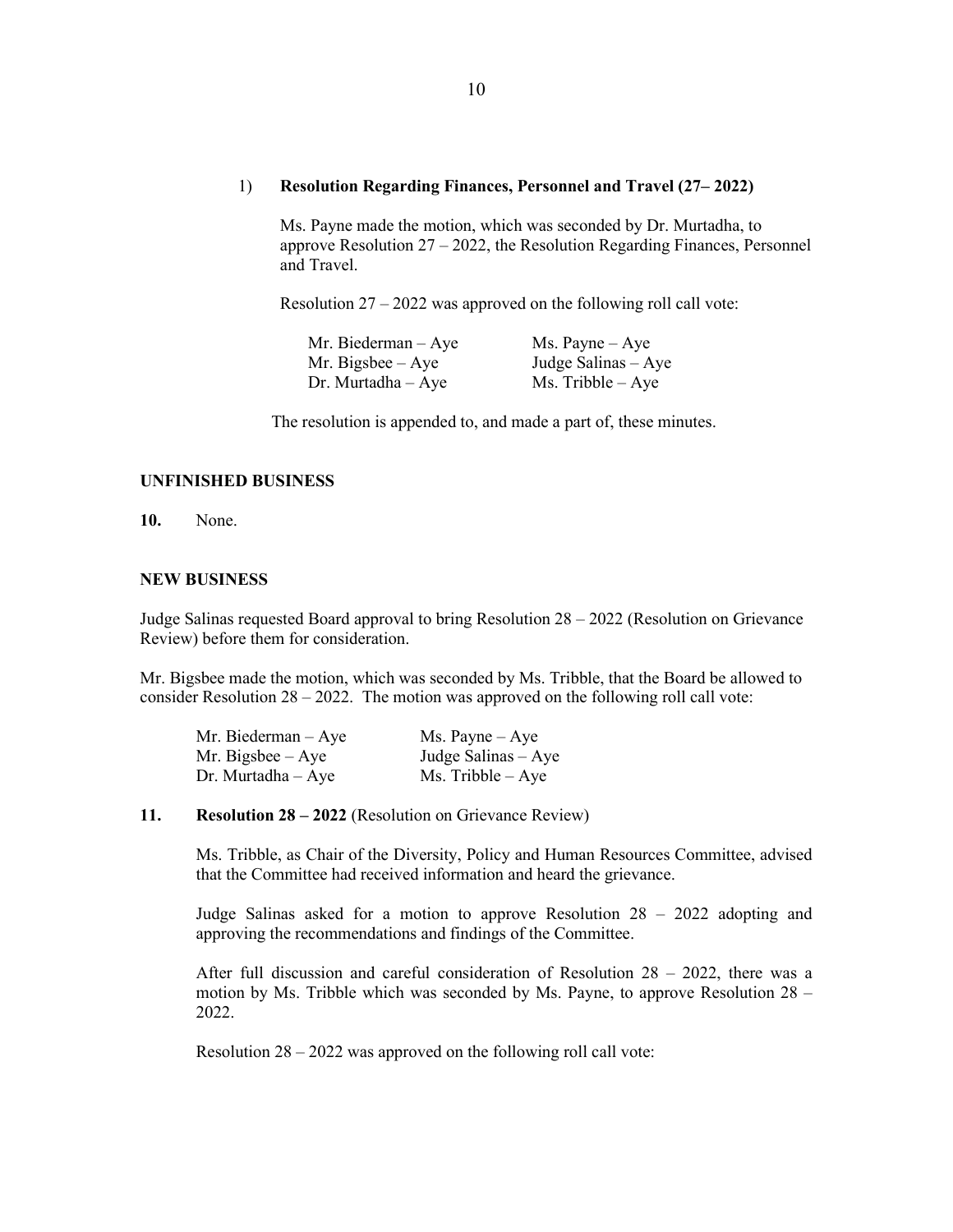#### 1) **Resolution Regarding Finances, Personnel and Travel (27– 2022)**

Ms. Payne made the motion, which was seconded by Dr. Murtadha, to approve Resolution 27 – 2022, the Resolution Regarding Finances, Personnel and Travel.

Resolution 27 – 2022 was approved on the following roll call vote:

| Mr. Biederman $-$ Aye | $Ms. \text{Payne} - Aye$ |
|-----------------------|--------------------------|
| Mr. Bigsbee $-$ Aye   | Judge Salinas $-$ Aye    |
| Dr. Murtadha – Aye    | $Ms.$ Tribble $-Aye$     |

The resolution is appended to, and made a part of, these minutes.

### **UNFINISHED BUSINESS**

**10.** None.

### **NEW BUSINESS**

Judge Salinas requested Board approval to bring Resolution 28 – 2022 (Resolution on Grievance Review) before them for consideration.

Mr. Bigsbee made the motion, which was seconded by Ms. Tribble, that the Board be allowed to consider Resolution  $28 - 2022$ . The motion was approved on the following roll call vote:

| Mr. Biederman $-$ Aye | $Ms. \text{Payne} - Aye$ |
|-----------------------|--------------------------|
| Mr. Bigsbee $-$ Aye   | Judge Salinas $-$ Aye    |
| Dr. Murtadha $-$ Aye  | $Ms.$ Tribble $-$ Aye    |

### **11. Resolution 28 – 2022** (Resolution on Grievance Review)

Ms. Tribble, as Chair of the Diversity, Policy and Human Resources Committee, advised that the Committee had received information and heard the grievance.

Judge Salinas asked for a motion to approve Resolution 28 – 2022 adopting and approving the recommendations and findings of the Committee.

After full discussion and careful consideration of Resolution 28 – 2022, there was a motion by Ms. Tribble which was seconded by Ms. Payne, to approve Resolution 28 – 2022.

Resolution 28 – 2022 was approved on the following roll call vote: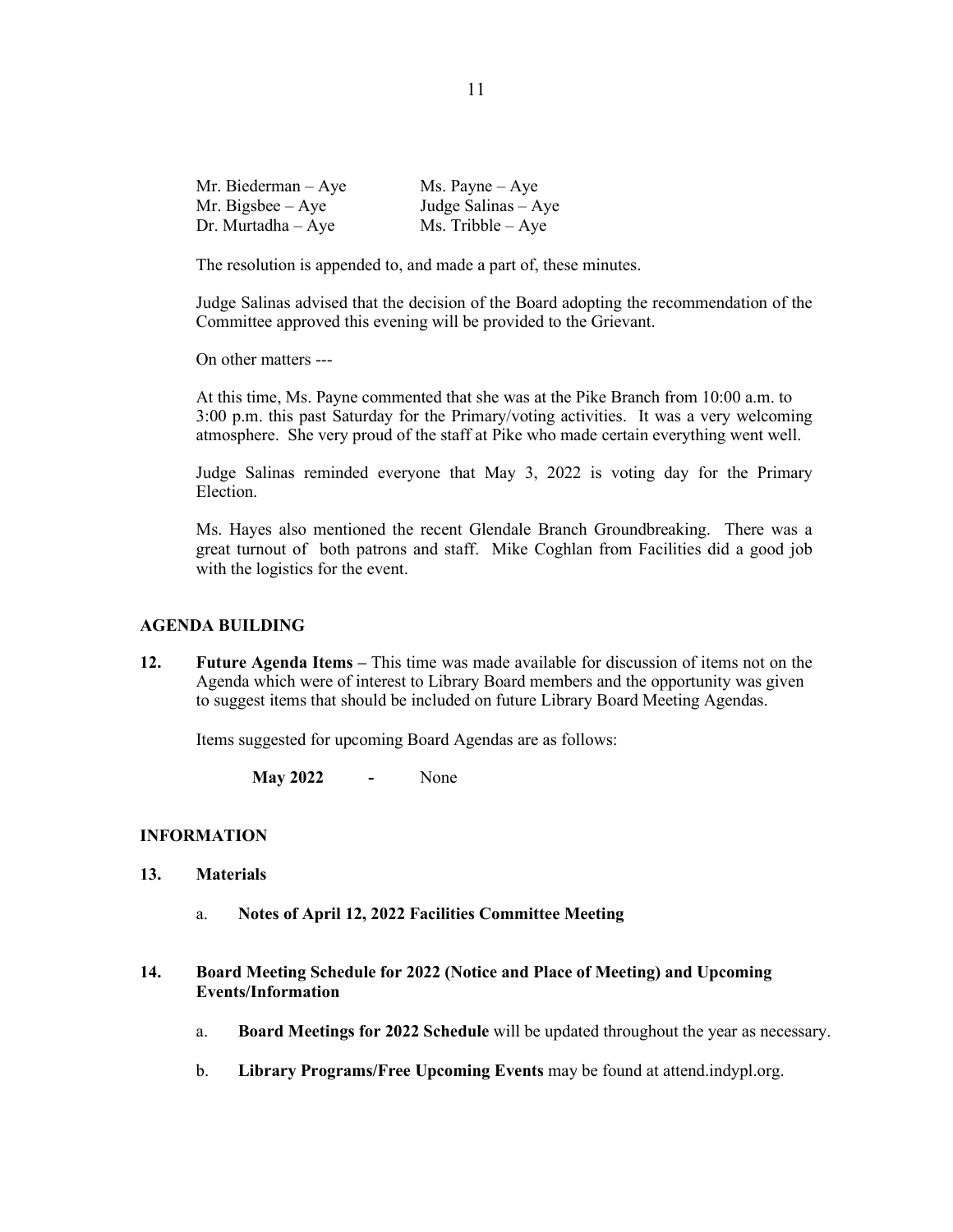| Mr. Biederman $-$ Aye | Ms. Payne $-$ Aye    |
|-----------------------|----------------------|
| Mr. Bigsbee $-$ Aye   | Judge Salinas – Aye  |
| Dr. Murtadha $-$ Aye  | $Ms.$ Tribble $-Aye$ |

The resolution is appended to, and made a part of, these minutes.

Judge Salinas advised that the decision of the Board adopting the recommendation of the Committee approved this evening will be provided to the Grievant.

On other matters ---

At this time, Ms. Payne commented that she was at the Pike Branch from 10:00 a.m. to 3:00 p.m. this past Saturday for the Primary/voting activities. It was a very welcoming atmosphere. She very proud of the staff at Pike who made certain everything went well.

Judge Salinas reminded everyone that May 3, 2022 is voting day for the Primary Election.

Ms. Hayes also mentioned the recent Glendale Branch Groundbreaking. There was a great turnout of both patrons and staff. Mike Coghlan from Facilities did a good job with the logistics for the event.

### **AGENDA BUILDING**

**12. Future Agenda Items –** This time was made available for discussion of items not on the Agenda which were of interest to Library Board members and the opportunity was given to suggest items that should be included on future Library Board Meeting Agendas.

Items suggested for upcoming Board Agendas are as follows:

**May 2022 -** None

### **INFORMATION**

- **13. Materials** 
	- a. **Notes of April 12, 2022 Facilities Committee Meeting**
- **14. Board Meeting Schedule for 2022 (Notice and Place of Meeting) and Upcoming Events/Information** 
	- a. **Board Meetings for 2022 Schedule** will be updated throughout the year as necessary.
	- b. **Library Programs/Free Upcoming Events** may be found at attend.indypl.org.